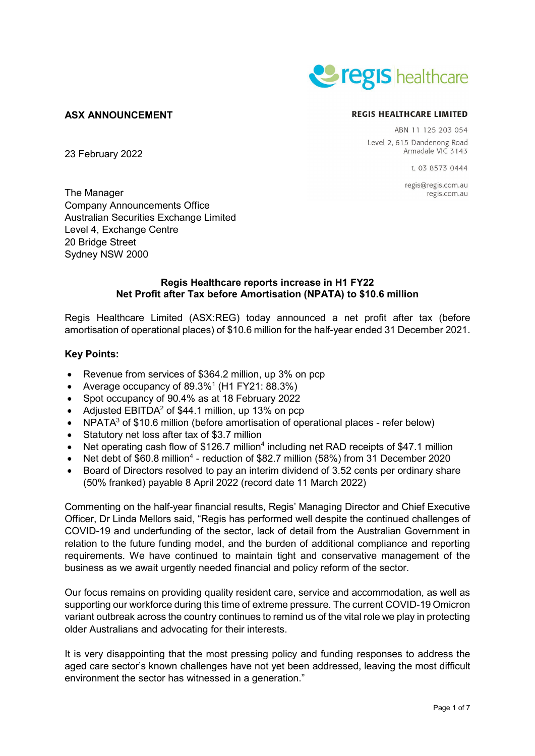

# **ASX ANNOUNCEMENT**

23 February 2022

#### **REGIS HEALTHCARE LIMITED**

ABN 11 125 203 054 Level 2, 615 Dandenong Road Armadale VIC 3143

1 03 8573 0444

regis@regis.com.au regis.com.au

The Manager Company Announcements Office Australian Securities Exchange Limited Level 4, Exchange Centre 20 Bridge Street Sydney NSW 2000

# **Regis Healthcare reports increase in H1 FY22 Net Profit after Tax before Amortisation (NPATA) to \$10.6 million**

Regis Healthcare Limited (ASX:REG) today announced a net profit after tax (before amortisation of operational places) of \$10.6 million for the half-year ended 31 December 2021.

## **Key Points:**

- Revenue from services of \$364.2 million, up 3% on pcp
- Average occupancy of  $89.3\%$ <sup>1</sup> (H1 FY21:  $88.3\%$ )
- Spot occupancy of 90.4% as at 18 February 2022
- Adjusted  $EBITDA<sup>2</sup>$  of \$44.1 million, up 13% on pcp
- $NPATA<sup>3</sup>$  of \$10.6 million (before amortisation of operational places refer below)
- Statutory net loss after tax of \$3.7 million
- Net operating cash flow of \$126.7 million<sup>4</sup> including net RAD receipts of \$47.1 million
- Net debt of \$60.8 million<sup>4</sup> reduction of \$82.7 million (58%) from 31 December 2020
- Board of Directors resolved to pay an interim dividend of 3.52 cents per ordinary share (50% franked) payable 8 April 2022 (record date 11 March 2022)

Commenting on the half-year financial results, Regis' Managing Director and Chief Executive Officer, Dr Linda Mellors said, "Regis has performed well despite the continued challenges of COVID-19 and underfunding of the sector, lack of detail from the Australian Government in relation to the future funding model, and the burden of additional compliance and reporting requirements. We have continued to maintain tight and conservative management of the business as we await urgently needed financial and policy reform of the sector.

Our focus remains on providing quality resident care, service and accommodation, as well as supporting our workforce during this time of extreme pressure. The current COVID-19 Omicron variant outbreak across the country continues to remind us of the vital role we play in protecting older Australians and advocating for their interests.

It is very disappointing that the most pressing policy and funding responses to address the aged care sector's known challenges have not yet been addressed, leaving the most difficult environment the sector has witnessed in a generation."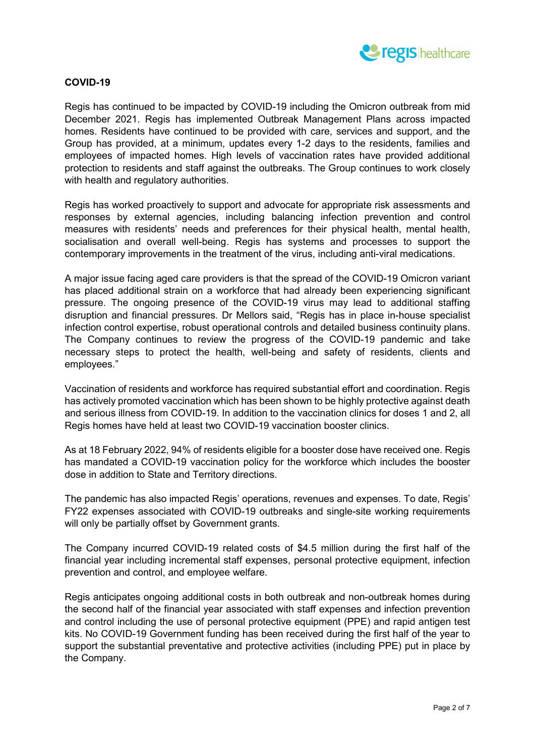

## **COVID-19**

Regis has continued to be impacted by COVID-19 including the Omicron outbreak from mid December 2021. Regis has implemented Outbreak Management Plans across impacted homes. Residents have continued to be provided with care, services and support, and the Group has provided, at a minimum, updates every 1-2 days to the residents, families and employees of impacted homes. High levels of vaccination rates have provided additional protection to residents and staff against the outbreaks. The Group continues to work closely with health and regulatory authorities.

Regis has worked proactively to support and advocate for appropriate risk assessments and responses by external agencies, including balancing infection prevention and control measures with residents' needs and preferences for their physical health, mental health, socialisation and overall well-being. Regis has systems and processes to support the contemporary improvements in the treatment of the virus, including anti-viral medications.

A major issue facing aged care providers is that the spread of the COVID-19 Omicron variant has placed additional strain on a workforce that had already been experiencing significant pressure. The ongoing presence of the COVID-19 virus may lead to additional staffing disruption and financial pressures. Dr Mellors said, "Regis has in place in-house specialist infection control expertise, robust operational controls and detailed business continuity plans. The Company continues to review the progress of the COVID-19 pandemic and take necessary steps to protect the health, well-being and safety of residents, clients and employees."

Vaccination of residents and workforce has required substantial effort and coordination. Regis has actively promoted vaccination which has been shown to be highly protective against death and serious illness from COVID-19. In addition to the vaccination clinics for doses 1 and 2, all Regis homes have held at least two COVID-19 vaccination booster clinics.

As at 18 February 2022, 94% of residents eligible for a booster dose have received one. Regis has mandated a COVID-19 vaccination policy for the workforce which includes the booster dose in addition to State and Territory directions.

The pandemic has also impacted Regis' operations, revenues and expenses. To date, Regis' FY22 expenses associated with COVID-19 outbreaks and single-site working requirements will only be partially offset by Government grants.

The Company incurred COVID-19 related costs of \$4.5 million during the first half of the financial year including incremental staff expenses, personal protective equipment, infection prevention and control, and employee welfare.

Regis anticipates ongoing additional costs in both outbreak and non-outbreak homes during the second half of the financial year associated with staff expenses and infection prevention and control including the use of personal protective equipment (PPE) and rapid antigen test kits. No COVID-19 Government funding has been received during the first half of the year to support the substantial preventative and protective activities (including PPE) put in place by the Company.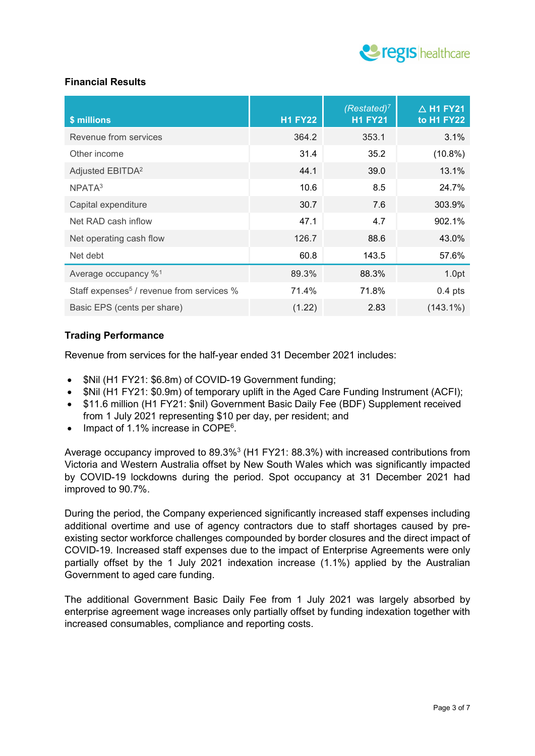

# **Financial Results**

| \$ millions                                           | <b>H1 FY22</b> | $(Restated)^7$<br><b>H1 FY21</b> | $\overline{\triangle}$ H1 FY21<br>to H1 FY22 |
|-------------------------------------------------------|----------------|----------------------------------|----------------------------------------------|
| Revenue from services                                 | 364.2          | 353.1                            | 3.1%                                         |
| Other income                                          | 31.4           | 35.2                             | $(10.8\%)$                                   |
| Adjusted EBITDA <sup>2</sup>                          | 44.1           | 39.0                             | 13.1%                                        |
| NPATA <sup>3</sup>                                    | 10.6           | 8.5                              | 24.7%                                        |
| Capital expenditure                                   | 30.7           | 7.6                              | 303.9%                                       |
| Net RAD cash inflow                                   | 47.1           | 4.7                              | 902.1%                                       |
| Net operating cash flow                               | 126.7          | 88.6                             | 43.0%                                        |
| Net debt                                              | 60.8           | 143.5                            | 57.6%                                        |
| Average occupancy % <sup>1</sup>                      | 89.3%          | 88.3%                            | 1.0pt                                        |
| Staff expenses <sup>5</sup> / revenue from services % | 71.4%          | 71.8%                            | $0.4$ pts                                    |
| Basic EPS (cents per share)                           | (1.22)         | 2.83                             | $(143.1\%)$                                  |

# **Trading Performance**

Revenue from services for the half-year ended 31 December 2021 includes:

- \$Nil (H1 FY21: \$6.8m) of COVID-19 Government funding;
- \$Nil (H1 FY21: \$0.9m) of temporary uplift in the Aged Care Funding Instrument (ACFI);
- \$11.6 million (H1 FY21: \$nil) Government Basic Daily Fee (BDF) Supplement received from 1 July 2021 representing \$10 per day, per resident; and
- Impact of 1.1% increase in COPE<sup>6</sup>.

Average occupancy improved to 89.3%<sup>3</sup> (H1 FY21: 88.3%) with increased contributions from Victoria and Western Australia offset by New South Wales which was significantly impacted by COVID-19 lockdowns during the period. Spot occupancy at 31 December 2021 had improved to 90.7%.

During the period, the Company experienced significantly increased staff expenses including additional overtime and use of agency contractors due to staff shortages caused by preexisting sector workforce challenges compounded by border closures and the direct impact of COVID-19. Increased staff expenses due to the impact of Enterprise Agreements were only partially offset by the 1 July 2021 indexation increase (1.1%) applied by the Australian Government to aged care funding.

The additional Government Basic Daily Fee from 1 July 2021 was largely absorbed by enterprise agreement wage increases only partially offset by funding indexation together with increased consumables, compliance and reporting costs.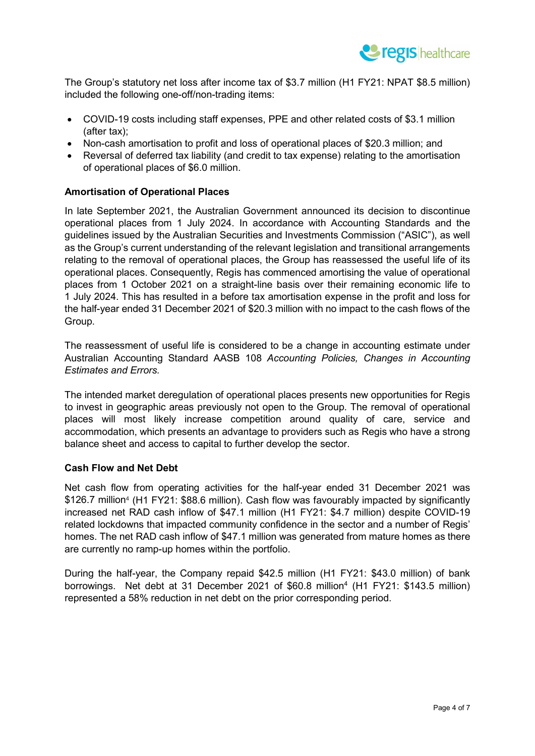

The Group's statutory net loss after income tax of \$3.7 million (H1 FY21: NPAT \$8.5 million) included the following one-off/non-trading items:

- COVID-19 costs including staff expenses, PPE and other related costs of \$3.1 million (after tax);
- Non-cash amortisation to profit and loss of operational places of \$20.3 million; and
- Reversal of deferred tax liability (and credit to tax expense) relating to the amortisation of operational places of \$6.0 million.

# **Amortisation of Operational Places**

In late September 2021, the Australian Government announced its decision to discontinue operational places from 1 July 2024. In accordance with Accounting Standards and the guidelines issued by the Australian Securities and Investments Commission ("ASIC"), as well as the Group's current understanding of the relevant legislation and transitional arrangements relating to the removal of operational places, the Group has reassessed the useful life of its operational places. Consequently, Regis has commenced amortising the value of operational places from 1 October 2021 on a straight-line basis over their remaining economic life to 1 July 2024. This has resulted in a before tax amortisation expense in the profit and loss for the half-year ended 31 December 2021 of \$20.3 million with no impact to the cash flows of the Group.

The reassessment of useful life is considered to be a change in accounting estimate under Australian Accounting Standard AASB 108 *Accounting Policies, Changes in Accounting Estimates and Errors.*

The intended market deregulation of operational places presents new opportunities for Regis to invest in geographic areas previously not open to the Group. The removal of operational places will most likely increase competition around quality of care, service and accommodation, which presents an advantage to providers such as Regis who have a strong balance sheet and access to capital to further develop the sector.

#### **Cash Flow and Net Debt**

Net cash flow from operating activities for the half-year ended 31 December 2021 was \$126.7 million<sup>4</sup> (H1 FY21: \$88.6 million). Cash flow was favourably impacted by significantly increased net RAD cash inflow of \$47.1 million (H1 FY21: \$4.7 million) despite COVID-19 related lockdowns that impacted community confidence in the sector and a number of Regis' homes. The net RAD cash inflow of \$47.1 million was generated from mature homes as there are currently no ramp-up homes within the portfolio.

During the half-year, the Company repaid \$42.5 million (H1 FY21: \$43.0 million) of bank borrowings. Net debt at 31 December 2021 of \$60.8 million<sup>4</sup> (H1 FY21: \$143.5 million) represented a 58% reduction in net debt on the prior corresponding period.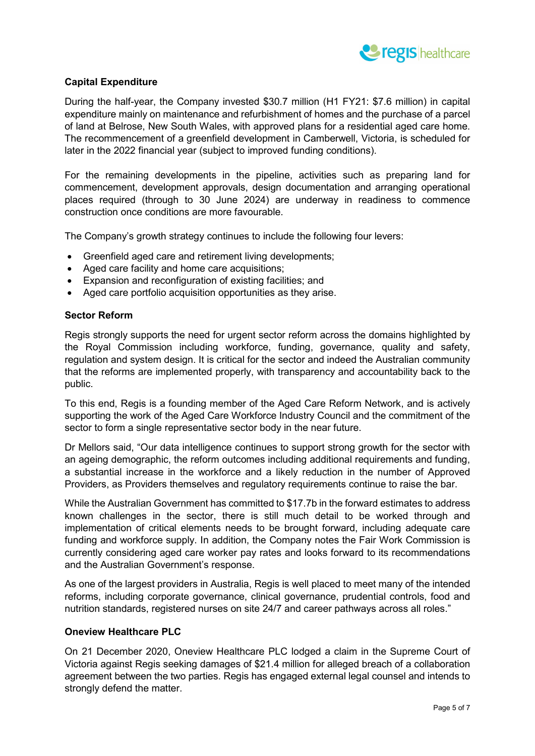

# **Capital Expenditure**

During the half-year, the Company invested \$30.7 million (H1 FY21: \$7.6 million) in capital expenditure mainly on maintenance and refurbishment of homes and the purchase of a parcel of land at Belrose, New South Wales, with approved plans for a residential aged care home. The recommencement of a greenfield development in Camberwell, Victoria, is scheduled for later in the 2022 financial year (subject to improved funding conditions).

For the remaining developments in the pipeline, activities such as preparing land for commencement, development approvals, design documentation and arranging operational places required (through to 30 June 2024) are underway in readiness to commence construction once conditions are more favourable.

The Company's growth strategy continues to include the following four levers:

- Greenfield aged care and retirement living developments;
- Aged care facility and home care acquisitions;
- Expansion and reconfiguration of existing facilities; and
- Aged care portfolio acquisition opportunities as they arise.

#### **Sector Reform**

Regis strongly supports the need for urgent sector reform across the domains highlighted by the Royal Commission including workforce, funding, governance, quality and safety, regulation and system design. It is critical for the sector and indeed the Australian community that the reforms are implemented properly, with transparency and accountability back to the public.

To this end, Regis is a founding member of the Aged Care Reform Network, and is actively supporting the work of the Aged Care Workforce Industry Council and the commitment of the sector to form a single representative sector body in the near future.

Dr Mellors said, "Our data intelligence continues to support strong growth for the sector with an ageing demographic, the reform outcomes including additional requirements and funding, a substantial increase in the workforce and a likely reduction in the number of Approved Providers, as Providers themselves and regulatory requirements continue to raise the bar.

While the Australian Government has committed to \$17.7b in the forward estimates to address known challenges in the sector, there is still much detail to be worked through and implementation of critical elements needs to be brought forward, including adequate care funding and workforce supply. In addition, the Company notes the Fair Work Commission is currently considering aged care worker pay rates and looks forward to its recommendations and the Australian Government's response.

As one of the largest providers in Australia, Regis is well placed to meet many of the intended reforms, including corporate governance, clinical governance, prudential controls, food and nutrition standards, registered nurses on site 24/7 and career pathways across all roles."

#### **Oneview Healthcare PLC**

On 21 December 2020, Oneview Healthcare PLC lodged a claim in the Supreme Court of Victoria against Regis seeking damages of \$21.4 million for alleged breach of a collaboration agreement between the two parties. Regis has engaged external legal counsel and intends to strongly defend the matter.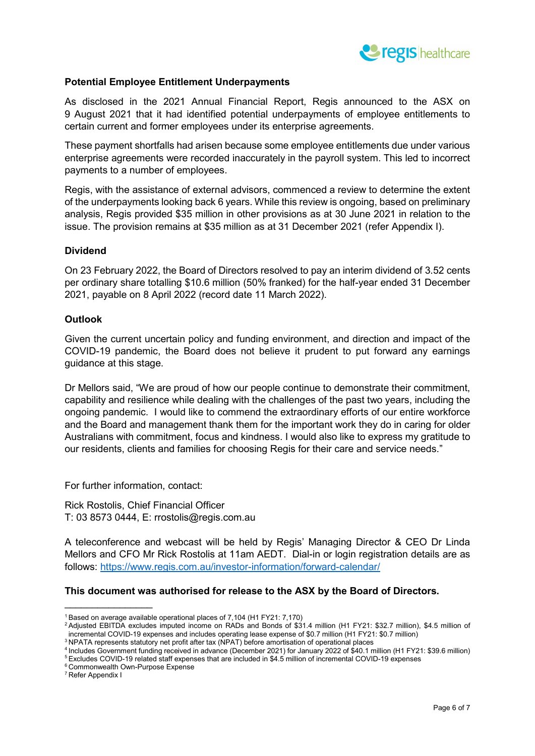

## **Potential Employee Entitlement Underpayments**

As disclosed in the 2021 Annual Financial Report, Regis announced to the ASX on 9 August 2021 that it had identified potential underpayments of employee entitlements to certain current and former employees under its enterprise agreements.

These payment shortfalls had arisen because some employee entitlements due under various enterprise agreements were recorded inaccurately in the payroll system. This led to incorrect payments to a number of employees.

Regis, with the assistance of external advisors, commenced a review to determine the extent of the underpayments looking back 6 years. While this review is ongoing, based on preliminary analysis, Regis provided \$35 million in other provisions as at 30 June 2021 in relation to the issue. The provision remains at \$35 million as at 31 December 2021 (refer Appendix I).

#### **Dividend**

On 23 February 2022, the Board of Directors resolved to pay an interim dividend of 3.52 cents per ordinary share totalling \$10.6 million (50% franked) for the half-year ended 31 December 2021, payable on 8 April 2022 (record date 11 March 2022).

#### **Outlook**

Given the current uncertain policy and funding environment, and direction and impact of the COVID-19 pandemic, the Board does not believe it prudent to put forward any earnings guidance at this stage.

Dr Mellors said, "We are proud of how our people continue to demonstrate their commitment, capability and resilience while dealing with the challenges of the past two years, including the ongoing pandemic. I would like to commend the extraordinary efforts of our entire workforce and the Board and management thank them for the important work they do in caring for older Australians with commitment, focus and kindness. I would also like to express my gratitude to our residents, clients and families for choosing Regis for their care and service needs."

For further information, contact:

Rick Rostolis, Chief Financial Officer T: 03 8573 0444, E: rrostolis@regis.com.au

A teleconference and webcast will be held by Regis' Managing Director & CEO Dr Linda Mellors and CFO Mr Rick Rostolis at 11am AEDT. Dial-in or login registration details are as follows:<https://www.regis.com.au/investor-information/forward-calendar/>

#### **This document was authorised for release to the ASX by the Board of Directors.**

<sup>6</sup> Commonwealth Own-Purpose Expense

<sup>7</sup> Refer Appendix I

 $\_$ 

<sup>1</sup> Based on average available operational places of 7,104 (H1 FY21: 7,170)

<sup>2</sup> Adjusted EBITDA excludes imputed income on RADs and Bonds of \$31.4 million (H1 FY21: \$32.7 million), \$4.5 million of incremental COVID-19 expenses and includes operating lease expense of \$0.7 million (H1 FY21: \$0.7 million) <sup>3</sup> NPATA represents statutory net profit after tax (NPAT) before amortisation of operational places

<sup>4</sup> Includes Government funding received in advance (December 2021) for January 2022 of \$40.1 million (H1 FY21: \$39.6 million) <sup>5</sup> Excludes COVID-19 related staff expenses that are included in \$4.5 million of incremental COVID-19 expenses